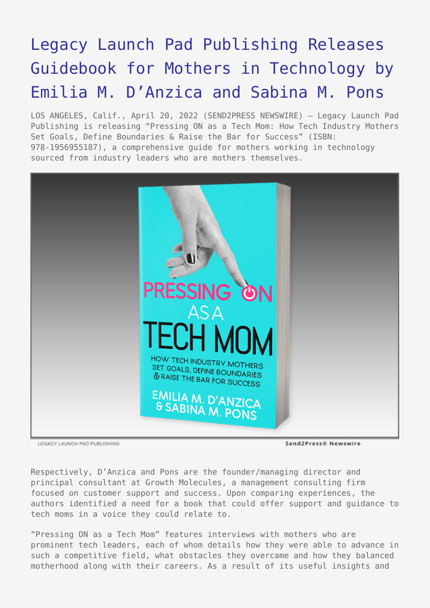## [Legacy Launch Pad Publishing Releases](https://www.send2press.com/wire/legacy-launch-pad-publishing-releases-guidebook-for-mothers-in-technology-by-emilia-m-danzica-and-sabina-m-pons/) [Guidebook for Mothers in Technology by](https://www.send2press.com/wire/legacy-launch-pad-publishing-releases-guidebook-for-mothers-in-technology-by-emilia-m-danzica-and-sabina-m-pons/) [Emilia M. D'Anzica and Sabina M. Pons](https://www.send2press.com/wire/legacy-launch-pad-publishing-releases-guidebook-for-mothers-in-technology-by-emilia-m-danzica-and-sabina-m-pons/)

LOS ANGELES, Calif., April 20, 2022 (SEND2PRESS NEWSWIRE) — Legacy Launch Pad Publishing is releasing "Pressing ON as a Tech Mom: How Tech Industry Mothers Set Goals, Define Boundaries & Raise the Bar for Success" (ISBN: 978-1956955187), a comprehensive guide for mothers working in technology sourced from industry leaders who are mothers themselves.



LEGACY LAUNCH PAD PUBLISHING

Send2Press® Newswire

Respectively, D'Anzica and Pons are the founder/managing director and principal consultant at Growth Molecules, a management consulting firm focused on customer support and success. Upon comparing experiences, the authors identified a need for a book that could offer support and guidance to tech moms in a voice they could relate to.

"Pressing ON as a Tech Mom" features interviews with mothers who are prominent tech leaders, each of whom details how they were able to advance in such a competitive field, what obstacles they overcame and how they balanced motherhood along with their careers. As a result of its useful insights and